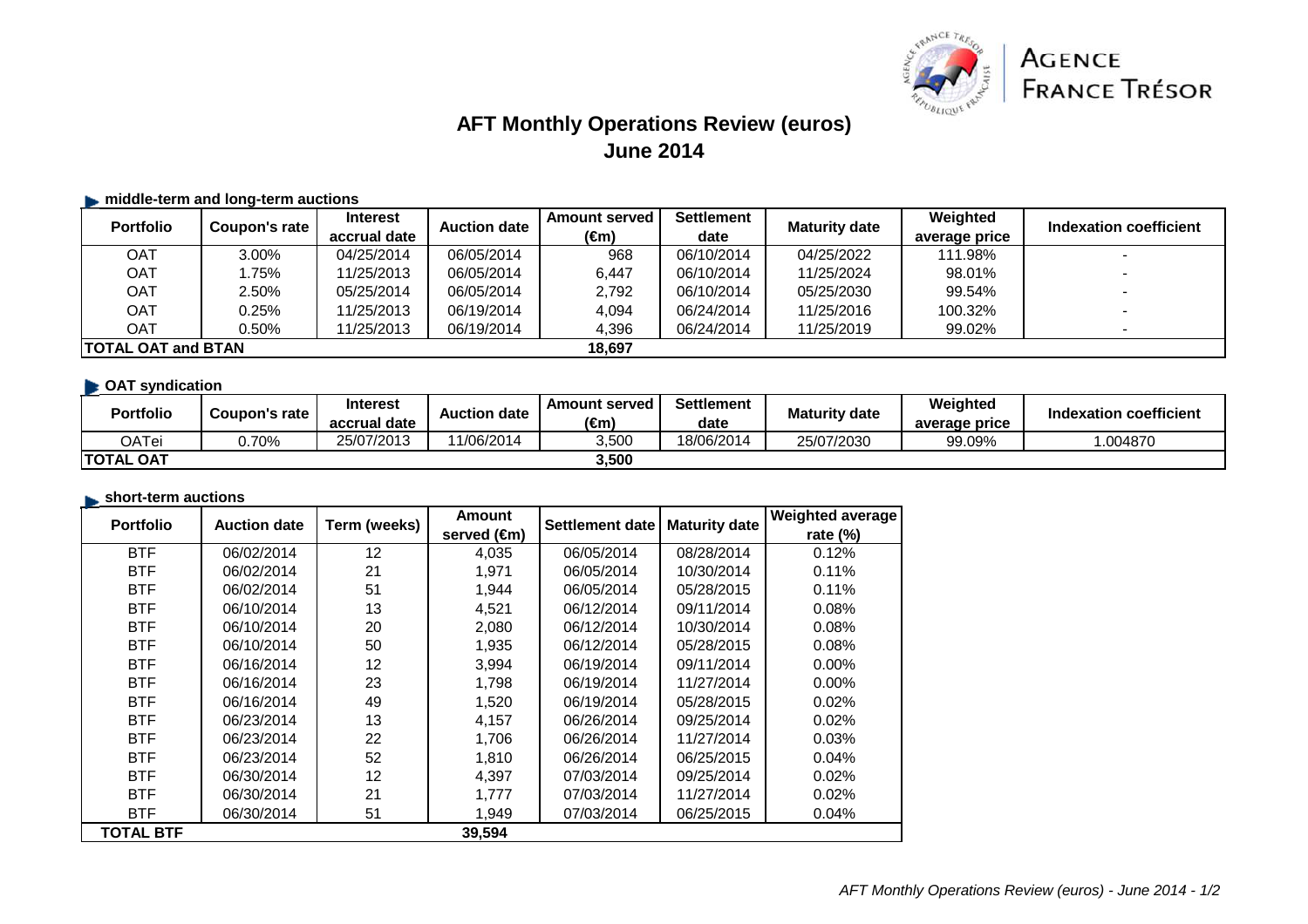

# **AFT Monthly Operations Review (euros)June 2014**

### $\blacktriangleright$  **middle-term and long-term auctions**

| <b>Portfolio</b>           | Coupon's rate | <b>Interest</b> | <b>Auction date</b> | <b>Amount served</b> | <b>Settlement</b><br><b>Maturity date</b> | Weighted   | Indexation coefficient |                          |
|----------------------------|---------------|-----------------|---------------------|----------------------|-------------------------------------------|------------|------------------------|--------------------------|
|                            |               | accrual date    |                     | (€m)                 | date                                      |            | average price          |                          |
| OAT                        | 3.00%         | 04/25/2014      | 06/05/2014          | 968                  | 06/10/2014                                | 04/25/2022 | 111.98%                |                          |
| <b>OAT</b>                 | .75%          | 11/25/2013      | 06/05/2014          | 6.447                | 06/10/2014                                | 11/25/2024 | 98.01%                 |                          |
| <b>OAT</b>                 | 2.50%         | 05/25/2014      | 06/05/2014          | 2,792                | 06/10/2014                                | 05/25/2030 | 99.54%                 |                          |
| OAT                        | 0.25%         | 11/25/2013      | 06/19/2014          | 4.094                | 06/24/2014                                | 11/25/2016 | 100.32%                | $\overline{\phantom{0}}$ |
| <b>OAT</b>                 | 0.50%         | 11/25/2013      | 06/19/2014          | 4,396                | 06/24/2014                                | 11/25/2019 | 99.02%                 |                          |
| <b>ITOTAL OAT and BTAN</b> |               |                 |                     | 18.697               |                                           |            |                        |                          |

## **CAT syndication**

| <b>Portfolio</b> | Coupon's rate | <b>Interest</b><br>accrual date | <b>Auction date</b> | <b>Amount served</b><br>$\epsilon$ m | <b>Settlement</b><br>date | <b>Maturity date</b> | Weighted<br>average price | <b>Indexation coefficient</b> |
|------------------|---------------|---------------------------------|---------------------|--------------------------------------|---------------------------|----------------------|---------------------------|-------------------------------|
| OATei            | 0.70%         | 25/07/2013                      | 11/06/2014          | 3,500                                | 18/06/2014                | 25/07/2030           | 99.09%                    | .004870                       |
| <b>TOTAL OAT</b> |               |                                 |                     | 3,500                                |                           |                      |                           |                               |

#### **short-term auctions**

| <b>Portfolio</b> | <b>Auction date</b> | Term (weeks) | <b>Amount</b> | Settlement date | <b>Maturity date</b> | <b>Weighted average</b> |
|------------------|---------------------|--------------|---------------|-----------------|----------------------|-------------------------|
|                  |                     |              | served (€m)   |                 |                      | rate (%)                |
| <b>BTF</b>       | 06/02/2014          | 12           | 4,035         | 06/05/2014      | 08/28/2014           | 0.12%                   |
| <b>BTF</b>       | 06/02/2014          | 21           | 1,971         | 06/05/2014      | 10/30/2014           | 0.11%                   |
| <b>BTF</b>       | 06/02/2014          | 51           | 1,944         | 06/05/2014      | 05/28/2015           | 0.11%                   |
| <b>BTF</b>       | 06/10/2014          | 13           | 4,521         | 06/12/2014      | 09/11/2014           | 0.08%                   |
| <b>BTF</b>       | 06/10/2014          | 20           | 2,080         | 06/12/2014      | 10/30/2014           | 0.08%                   |
| <b>BTF</b>       | 06/10/2014          | 50           | 1,935         | 06/12/2014      | 05/28/2015           | 0.08%                   |
| <b>BTF</b>       | 06/16/2014          | 12           | 3,994         | 06/19/2014      | 09/11/2014           | $0.00\%$                |
| <b>BTF</b>       | 06/16/2014          | 23           | 1,798         | 06/19/2014      | 11/27/2014           | $0.00\%$                |
| <b>BTF</b>       | 06/16/2014          | 49           | 1,520         | 06/19/2014      | 05/28/2015           | 0.02%                   |
| <b>BTF</b>       | 06/23/2014          | 13           | 4,157         | 06/26/2014      | 09/25/2014           | $0.02\%$                |
| <b>BTF</b>       | 06/23/2014          | 22           | 1,706         | 06/26/2014      | 11/27/2014           | 0.03%                   |
| <b>BTF</b>       | 06/23/2014          | 52           | 1,810         | 06/26/2014      | 06/25/2015           | 0.04%                   |
| <b>BTF</b>       | 06/30/2014          | 12           | 4,397         | 07/03/2014      | 09/25/2014           | 0.02%                   |
| <b>BTF</b>       | 06/30/2014          | 21           | 1,777         | 07/03/2014      | 11/27/2014           | 0.02%                   |
| <b>BTF</b>       | 06/30/2014          | 51           | 1,949         | 07/03/2014      | 06/25/2015           | 0.04%                   |
| <b>TOTAL BTF</b> |                     |              | 39,594        |                 |                      |                         |